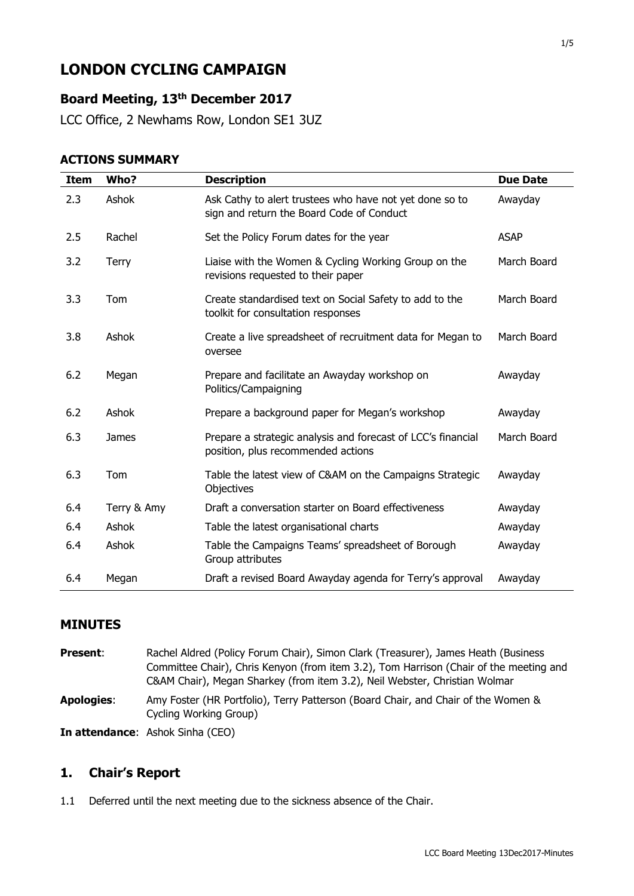# **LONDON CYCLING CAMPAIGN**

# **Board Meeting, 13th December 2017**

LCC Office, 2 Newhams Row, London SE1 3UZ

#### **ACTIONS SUMMARY**

| <b>Item</b> | Who?         | <b>Description</b>                                                                                   | <b>Due Date</b> |
|-------------|--------------|------------------------------------------------------------------------------------------------------|-----------------|
| 2.3         | Ashok        | Ask Cathy to alert trustees who have not yet done so to<br>sign and return the Board Code of Conduct | Awayday         |
| 2.5         | Rachel       | Set the Policy Forum dates for the year                                                              | <b>ASAP</b>     |
| 3.2         | Terry        | Liaise with the Women & Cycling Working Group on the<br>revisions requested to their paper           | March Board     |
| 3.3         | Tom          | Create standardised text on Social Safety to add to the<br>toolkit for consultation responses        | March Board     |
| 3.8         | Ashok        | Create a live spreadsheet of recruitment data for Megan to<br>oversee                                | March Board     |
| 6.2         | Megan        | Prepare and facilitate an Awayday workshop on<br>Politics/Campaigning                                | Awayday         |
| 6.2         | Ashok        | Prepare a background paper for Megan's workshop                                                      | Awayday         |
| 6.3         | <b>James</b> | Prepare a strategic analysis and forecast of LCC's financial<br>position, plus recommended actions   | March Board     |
| 6.3         | Tom          | Table the latest view of C&AM on the Campaigns Strategic<br>Objectives                               | Awayday         |
| 6.4         | Terry & Amy  | Draft a conversation starter on Board effectiveness                                                  | Awayday         |
| 6.4         | Ashok        | Table the latest organisational charts                                                               | Awayday         |
| 6.4         | Ashok        | Table the Campaigns Teams' spreadsheet of Borough<br>Group attributes                                | Awayday         |
| 6.4         | Megan        | Draft a revised Board Awayday agenda for Terry's approval                                            | Awayday         |

#### **MINUTES**

**Present:** Rachel Aldred (Policy Forum Chair), Simon Clark (Treasurer), James Heath (Business Committee Chair), Chris Kenyon (from item 3.2), Tom Harrison (Chair of the meeting and C&AM Chair), Megan Sharkey (from item 3.2), Neil Webster, Christian Wolmar **Apologies**: Amy Foster (HR Portfolio), Terry Patterson (Board Chair, and Chair of the Women & Cycling Working Group)

**In attendance**: Ashok Sinha (CEO)

#### **1. Chair's Report**

1.1 Deferred until the next meeting due to the sickness absence of the Chair.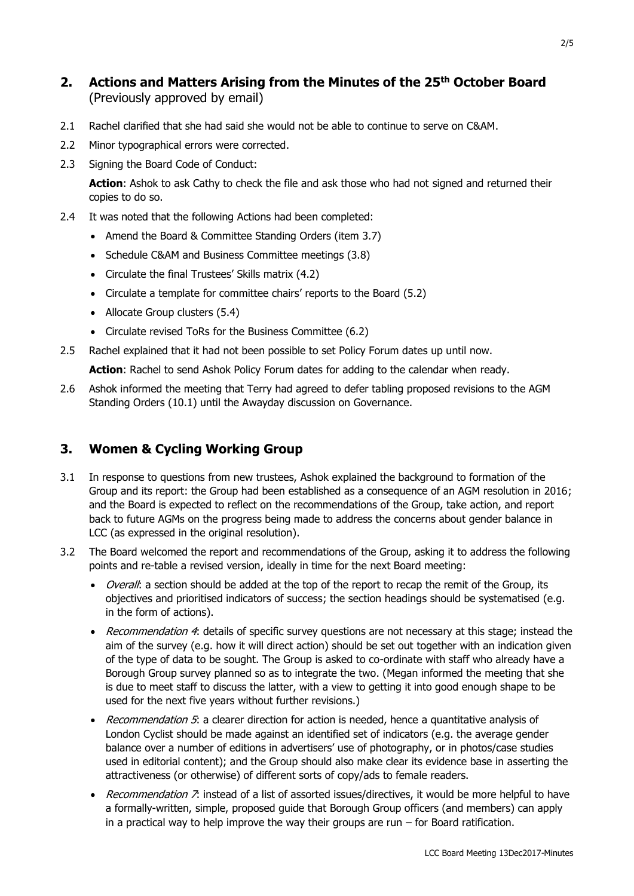# **2. Actions and Matters Arising from the Minutes of the 25th October Board**  (Previously approved by email)

- 2.1 Rachel clarified that she had said she would not be able to continue to serve on C&AM.
- 2.2 Minor typographical errors were corrected.
- 2.3 Signing the Board Code of Conduct:

**Action**: Ashok to ask Cathy to check the file and ask those who had not signed and returned their copies to do so.

- 2.4 It was noted that the following Actions had been completed:
	- Amend the Board & Committee Standing Orders (item 3.7)
	- Schedule C&AM and Business Committee meetings (3.8)
	- Circulate the final Trustees' Skills matrix (4.2)
	- Circulate a template for committee chairs' reports to the Board (5.2)
	- Allocate Group clusters (5.4)
	- Circulate revised ToRs for the Business Committee (6.2)

2.5 Rachel explained that it had not been possible to set Policy Forum dates up until now.

**Action**: Rachel to send Ashok Policy Forum dates for adding to the calendar when ready.

2.6 Ashok informed the meeting that Terry had agreed to defer tabling proposed revisions to the AGM Standing Orders (10.1) until the Awayday discussion on Governance.

# **3. Women & Cycling Working Group**

- 3.1 In response to questions from new trustees, Ashok explained the background to formation of the Group and its report: the Group had been established as a consequence of an AGM resolution in 2016; and the Board is expected to reflect on the recommendations of the Group, take action, and report back to future AGMs on the progress being made to address the concerns about gender balance in LCC (as expressed in the original resolution).
- 3.2 The Board welcomed the report and recommendations of the Group, asking it to address the following points and re-table a revised version, ideally in time for the next Board meeting:
	- Overall: a section should be added at the top of the report to recap the remit of the Group, its objectives and prioritised indicators of success; the section headings should be systematised (e.g. in the form of actions).
	- Recommendation 4: details of specific survey questions are not necessary at this stage; instead the aim of the survey (e.g. how it will direct action) should be set out together with an indication given of the type of data to be sought. The Group is asked to co-ordinate with staff who already have a Borough Group survey planned so as to integrate the two. (Megan informed the meeting that she is due to meet staff to discuss the latter, with a view to getting it into good enough shape to be used for the next five years without further revisions.)
	- Recommendation 5: a clearer direction for action is needed, hence a quantitative analysis of London Cyclist should be made against an identified set of indicators (e.g. the average gender balance over a number of editions in advertisers' use of photography, or in photos/case studies used in editorial content); and the Group should also make clear its evidence base in asserting the attractiveness (or otherwise) of different sorts of copy/ads to female readers.
	- Recommendation 7: instead of a list of assorted issues/directives, it would be more helpful to have a formally-written, simple, proposed guide that Borough Group officers (and members) can apply in a practical way to help improve the way their groups are run – for Board ratification.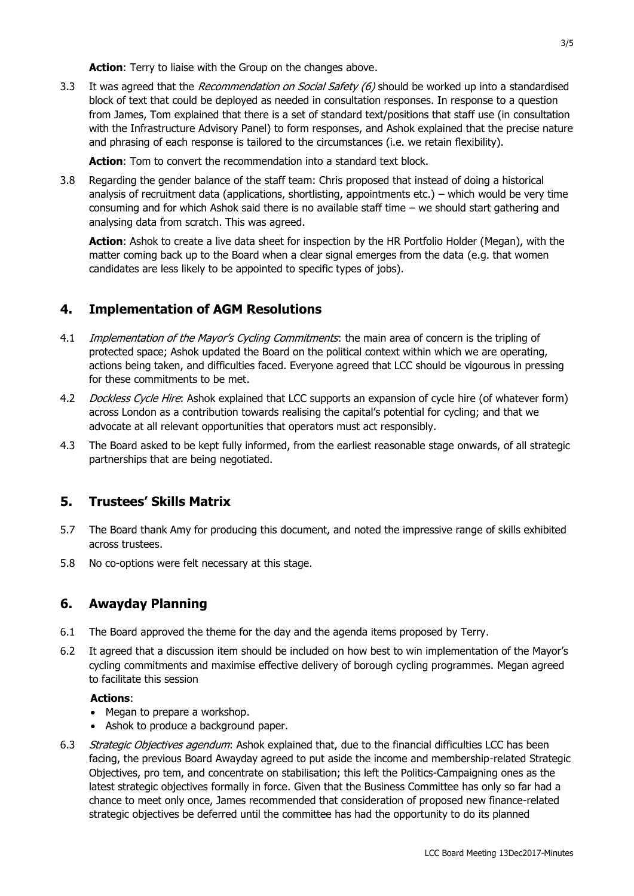**Action:** Terry to liaise with the Group on the changes above.

3.3 It was agreed that the Recommendation on Social Safety (6) should be worked up into a standardised block of text that could be deployed as needed in consultation responses. In response to a question from James, Tom explained that there is a set of standard text/positions that staff use (in consultation with the Infrastructure Advisory Panel) to form responses, and Ashok explained that the precise nature and phrasing of each response is tailored to the circumstances (i.e. we retain flexibility).

**Action**: Tom to convert the recommendation into a standard text block.

3.8 Regarding the gender balance of the staff team: Chris proposed that instead of doing a historical analysis of recruitment data (applications, shortlisting, appointments etc.) – which would be very time consuming and for which Ashok said there is no available staff time – we should start gathering and analysing data from scratch. This was agreed.

**Action**: Ashok to create a live data sheet for inspection by the HR Portfolio Holder (Megan), with the matter coming back up to the Board when a clear signal emerges from the data (e.g. that women candidates are less likely to be appointed to specific types of jobs).

#### **4. Implementation of AGM Resolutions**

- 4.1 *Implementation of the Mayor's Cycling Commitments*; the main area of concern is the tripling of protected space; Ashok updated the Board on the political context within which we are operating, actions being taken, and difficulties faced. Everyone agreed that LCC should be vigourous in pressing for these commitments to be met.
- 4.2 Dockless Cycle Hire: Ashok explained that LCC supports an expansion of cycle hire (of whatever form) across London as a contribution towards realising the capital's potential for cycling; and that we advocate at all relevant opportunities that operators must act responsibly.
- 4.3 The Board asked to be kept fully informed, from the earliest reasonable stage onwards, of all strategic partnerships that are being negotiated.

#### **5. Trustees' Skills Matrix**

- 5.7 The Board thank Amy for producing this document, and noted the impressive range of skills exhibited across trustees.
- 5.8 No co-options were felt necessary at this stage.

#### **6. Awayday Planning**

- 6.1 The Board approved the theme for the day and the agenda items proposed by Terry.
- 6.2 It agreed that a discussion item should be included on how best to win implementation of the Mayor's cycling commitments and maximise effective delivery of borough cycling programmes. Megan agreed to facilitate this session

#### **Actions**:

- Megan to prepare a workshop.
- Ashok to produce a background paper.
- 6.3 Strategic Objectives agendum: Ashok explained that, due to the financial difficulties LCC has been facing, the previous Board Awayday agreed to put aside the income and membership-related Strategic Objectives, pro tem, and concentrate on stabilisation; this left the Politics-Campaigning ones as the latest strategic objectives formally in force. Given that the Business Committee has only so far had a chance to meet only once, James recommended that consideration of proposed new finance-related strategic objectives be deferred until the committee has had the opportunity to do its planned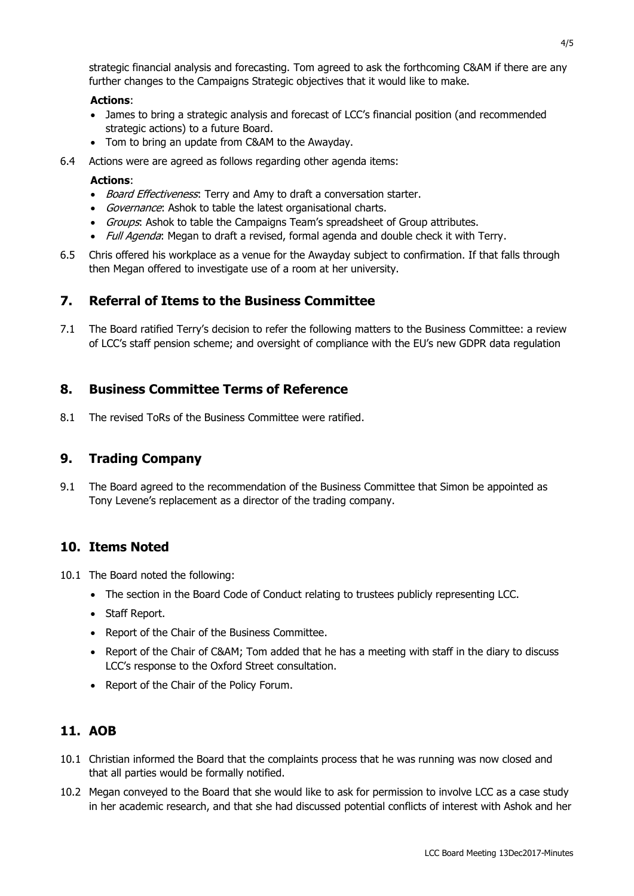strategic financial analysis and forecasting. Tom agreed to ask the forthcoming C&AM if there are any further changes to the Campaigns Strategic objectives that it would like to make.

#### **Actions**:

- James to bring a strategic analysis and forecast of LCC's financial position (and recommended strategic actions) to a future Board.
- Tom to bring an update from C&AM to the Awayday.
- 6.4 Actions were are agreed as follows regarding other agenda items:

#### **Actions**:

- *Board Effectiveness*: Terry and Amy to draft a conversation starter.
- Governance: Ashok to table the latest organisational charts.
- Groups: Ashok to table the Campaigns Team's spreadsheet of Group attributes.
- Full Agenda: Megan to draft a revised, formal agenda and double check it with Terry.
- 6.5 Chris offered his workplace as a venue for the Awayday subject to confirmation. If that falls through then Megan offered to investigate use of a room at her university.

#### **7. Referral of Items to the Business Committee**

7.1 The Board ratified Terry's decision to refer the following matters to the Business Committee: a review of LCC's staff pension scheme; and oversight of compliance with the EU's new GDPR data regulation

#### **8. Business Committee Terms of Reference**

8.1 The revised ToRs of the Business Committee were ratified.

#### **9. Trading Company**

9.1 The Board agreed to the recommendation of the Business Committee that Simon be appointed as Tony Levene's replacement as a director of the trading company.

#### **10. Items Noted**

- 10.1 The Board noted the following:
	- The section in the Board Code of Conduct relating to trustees publicly representing LCC.
	- Staff Report.
	- Report of the Chair of the Business Committee.
	- Report of the Chair of C&AM; Tom added that he has a meeting with staff in the diary to discuss LCC's response to the Oxford Street consultation.
	- Report of the Chair of the Policy Forum.

#### **11. AOB**

- 10.1 Christian informed the Board that the complaints process that he was running was now closed and that all parties would be formally notified.
- 10.2 Megan conveyed to the Board that she would like to ask for permission to involve LCC as a case study in her academic research, and that she had discussed potential conflicts of interest with Ashok and her